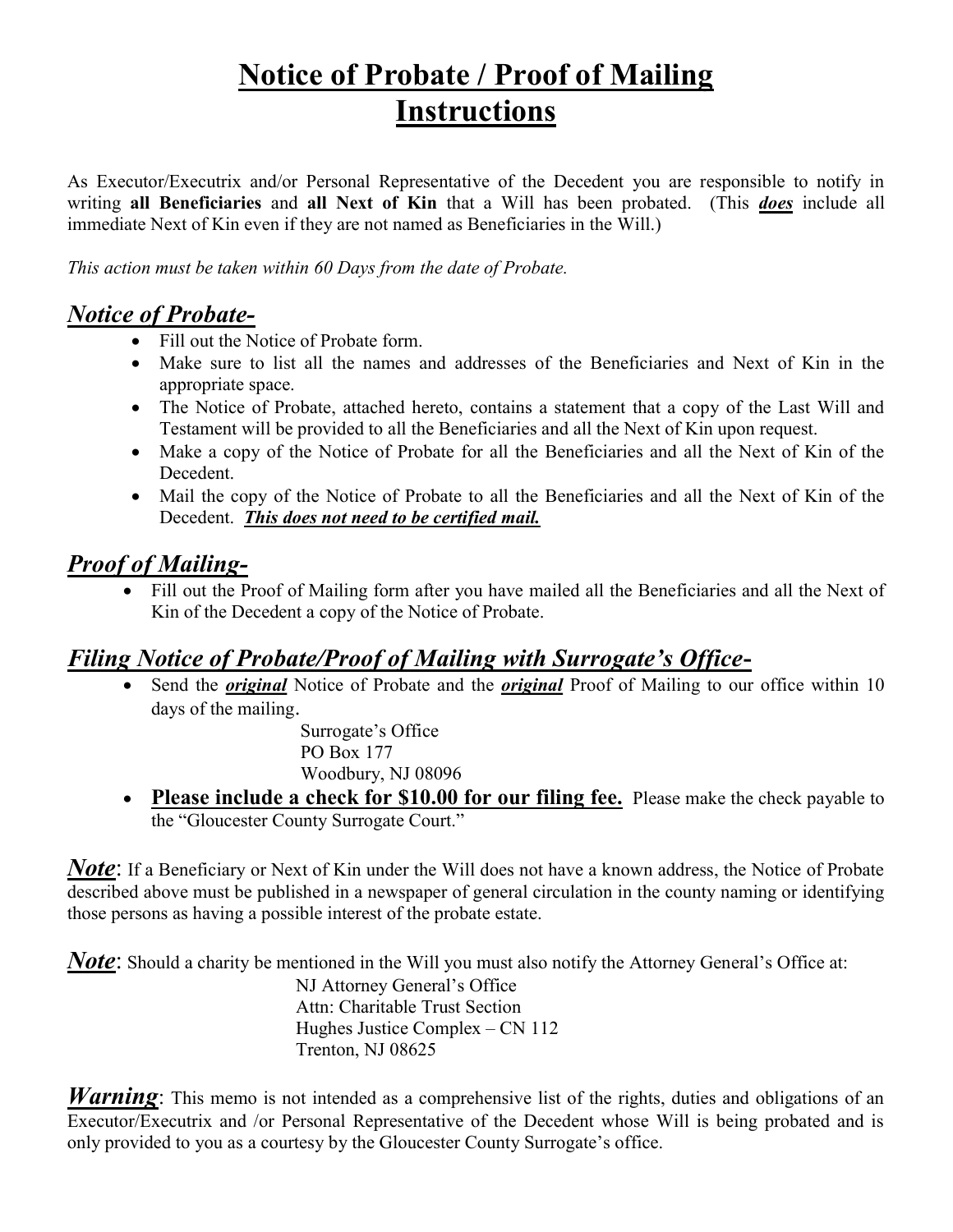## Notice of Probate / Proof of Mailing Instructions

As Executor/Executrix and/or Personal Representative of the Decedent you are responsible to notify in writing all Beneficiaries and all Next of Kin that a Will has been probated. (This *does* include all immediate Next of Kin even if they are not named as Beneficiaries in the Will.)

This action must be taken within 60 Days from the date of Probate.

#### Notice of Probate-

- Fill out the Notice of Probate form.
- Make sure to list all the names and addresses of the Beneficiaries and Next of Kin in the appropriate space.
- The Notice of Probate, attached hereto, contains a statement that a copy of the Last Will and Testament will be provided to all the Beneficiaries and all the Next of Kin upon request.
- Make a copy of the Notice of Probate for all the Beneficiaries and all the Next of Kin of the Decedent.
- Mail the copy of the Notice of Probate to all the Beneficiaries and all the Next of Kin of the Decedent. This does not need to be certified mail.

### **Proof of Mailing-**

 Fill out the Proof of Mailing form after you have mailed all the Beneficiaries and all the Next of Kin of the Decedent a copy of the Notice of Probate.

#### Filing Notice of Probate/Proof of Mailing with Surrogate's Office-

Send the *original* Notice of Probate and the *original* Proof of Mailing to our office within 10 days of the mailing.

> Surrogate's Office PO Box 177 Woodbury, NJ 08096

• Please include a check for \$10.00 for our filing fee. Please make the check payable to the "Gloucester County Surrogate Court."

**Note:** If a Beneficiary or Next of Kin under the Will does not have a known address, the Notice of Probate described above must be published in a newspaper of general circulation in the county naming or identifying those persons as having a possible interest of the probate estate.

**Note:** Should a charity be mentioned in the Will you must also notify the Attorney General's Office at:

 NJ Attorney General's Office Attn: Charitable Trust Section Hughes Justice Complex – CN 112 Trenton, NJ 08625

**Warning**: This memo is not intended as a comprehensive list of the rights, duties and obligations of an Executor/Executrix and /or Personal Representative of the Decedent whose Will is being probated and is only provided to you as a courtesy by the Gloucester County Surrogate's office.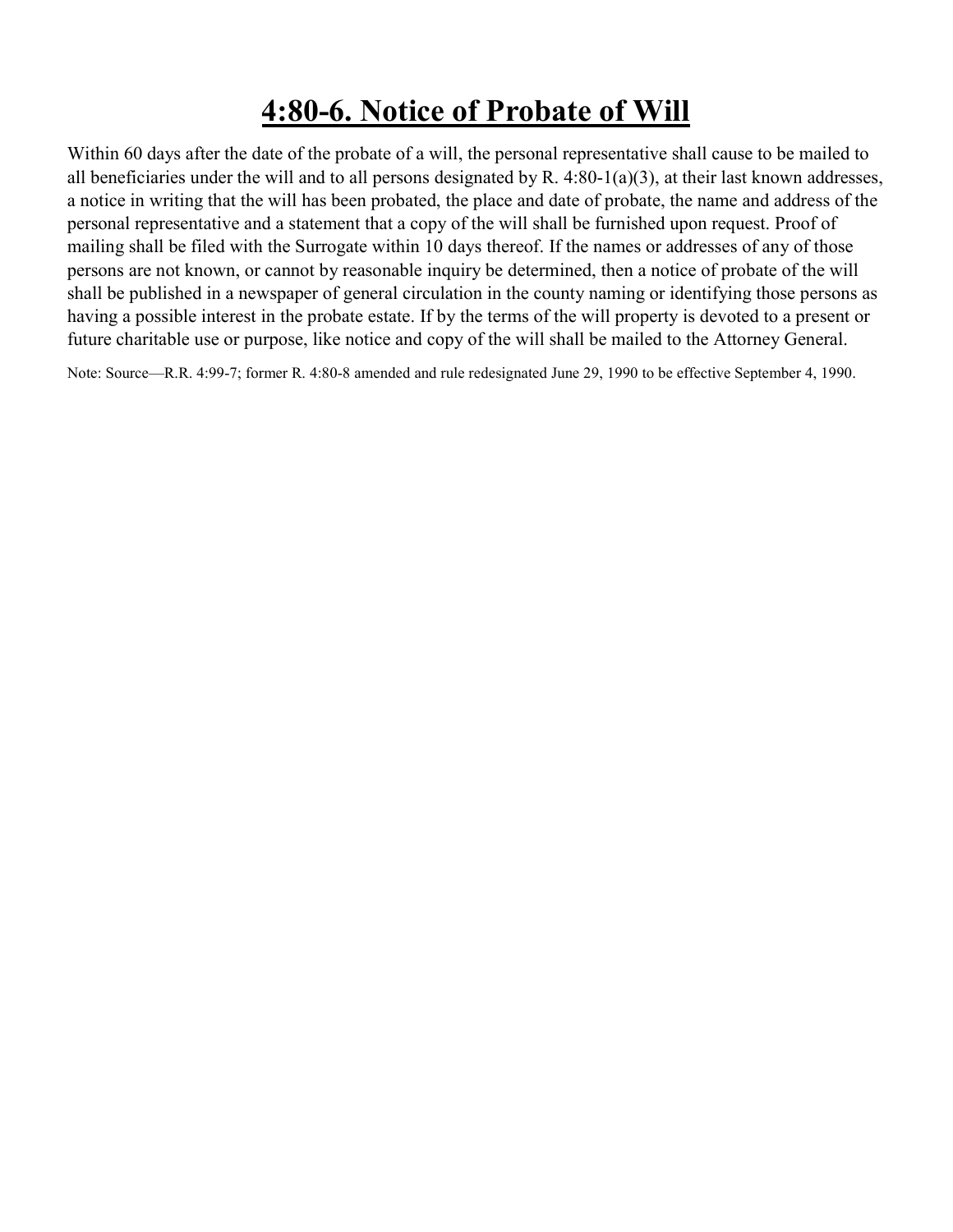### 4:80-6. Notice of Probate of Will

Within 60 days after the date of the probate of a will, the personal representative shall cause to be mailed to all beneficiaries under the will and to all persons designated by R.  $4:80-1(a)(3)$ , at their last known addresses, a notice in writing that the will has been probated, the place and date of probate, the name and address of the personal representative and a statement that a copy of the will shall be furnished upon request. Proof of mailing shall be filed with the Surrogate within 10 days thereof. If the names or addresses of any of those persons are not known, or cannot by reasonable inquiry be determined, then a notice of probate of the will shall be published in a newspaper of general circulation in the county naming or identifying those persons as having a possible interest in the probate estate. If by the terms of the will property is devoted to a present or future charitable use or purpose, like notice and copy of the will shall be mailed to the Attorney General.

Note: Source—R.R. 4:99-7; former R. 4:80-8 amended and rule redesignated June 29, 1990 to be effective September 4, 1990.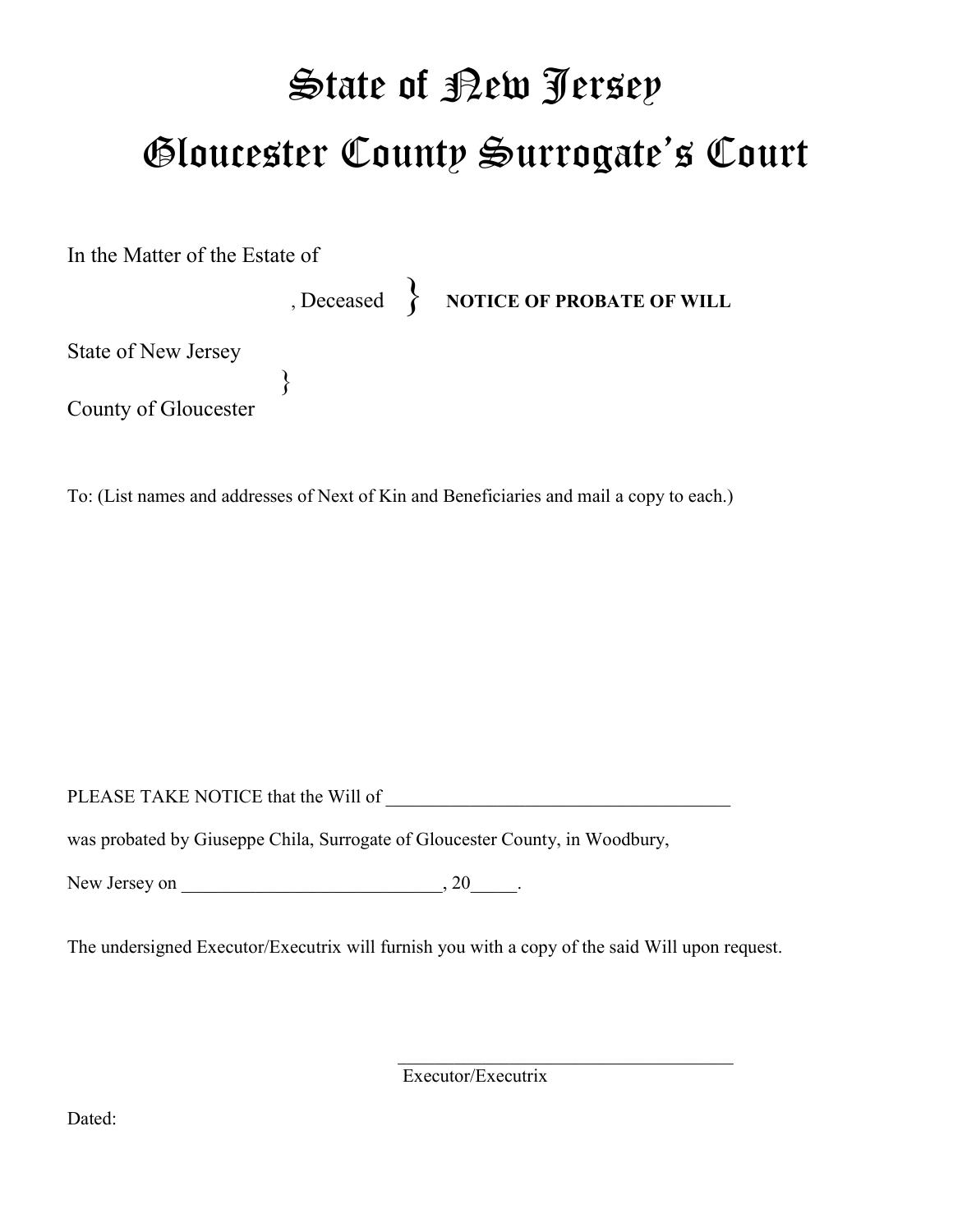## State of <u>Pew Jersey</u> Gloucester County Surrogate's Court

In the Matter of the Estate of

, Deceased > NOTICE OF PROBATE OF WILL

State of New Jersey

 } County of Gloucester

To: (List names and addresses of Next of Kin and Beneficiaries and mail a copy to each.)

PLEASE TAKE NOTICE that the Will of \_\_\_\_\_\_\_\_\_\_\_\_\_\_\_\_\_\_\_\_\_\_\_\_\_\_\_\_\_\_\_\_\_\_\_\_\_

was probated by Giuseppe Chila, Surrogate of Gloucester County, in Woodbury,

New Jersey on \_\_\_\_\_\_\_\_\_\_\_\_\_\_\_\_\_\_\_\_\_\_\_\_\_\_\_\_, 20\_\_\_\_\_.

The undersigned Executor/Executrix will furnish you with a copy of the said Will upon request.

Executor/Executrix

Dated: